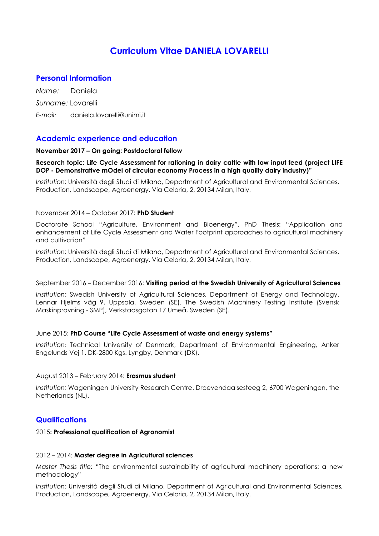# Curriculum Vitae DANIELA LOVARELLI

# Personal Information

Name: Daniela Surname: Lovarelli E-mail: daniela.lovarelli@unimi.it

# Academic experience and education

## November 2017 – On going: Postdoctoral fellow

## Research topic: Life Cycle Assessment for rationing in dairy cattle with low input feed (project LIFE DOP - Demonstrative mOdel of circular economy Process in a high quality dairy industry)"

Institution: Università degli Studi di Milano, Department of Agricultural and Environmental Sciences, Production, Landscape, Agroenergy. Via Celoria, 2, 20134 Milan, Italy.

## November 2014 – October 2017: PhD Student

Doctorate School "Agriculture, Environment and Bioenergy". PhD Thesis: "Application and enhancement of Life Cycle Assessment and Water Footprint approaches to agricultural machinery and cultivation"

Institution: Università degli Studi di Milano, Department of Agricultural and Environmental Sciences, Production, Landscape, Agroenergy. Via Celoria, 2, 20134 Milan, Italy.

#### September 2016 – December 2016: Visiting period at the Swedish University of Agricultural Sciences

Institution: Swedish University of Agricultural Sciences, Department of Energy and Technology. Lennar Hjelms väg 9, Uppsala, Sweden (SE). The Swedish Machinery Testing Institute (Svensk Maskinprovning - SMP), Verkstadsgatan 17 Umeå, Sweden (SE).

## June 2015: PhD Course "Life Cycle Assessment of waste and energy systems"

Institution: Technical University of Denmark, Department of Environmental Engineering, Anker Engelunds Vej 1. DK-2800 Kgs. Lyngby, Denmark (DK).

#### August 2013 – February 2014: Erasmus student

Institution: Wageningen University Research Centre. Droevendaalsesteeg 2, 6700 Wageningen, the Netherlands (NL).

# **Qualifications**

#### 2015: Professional qualification of Agronomist

#### 2012 – 2014: Master degree in Agricultural sciences

Master Thesis title: "The environmental sustainability of agricultural machinery operations: a new methodology"

Institution: Università degli Studi di Milano, Department of Agricultural and Environmental Sciences, Production, Landscape, Agroenergy. Via Celoria, 2, 20134 Milan, Italy.